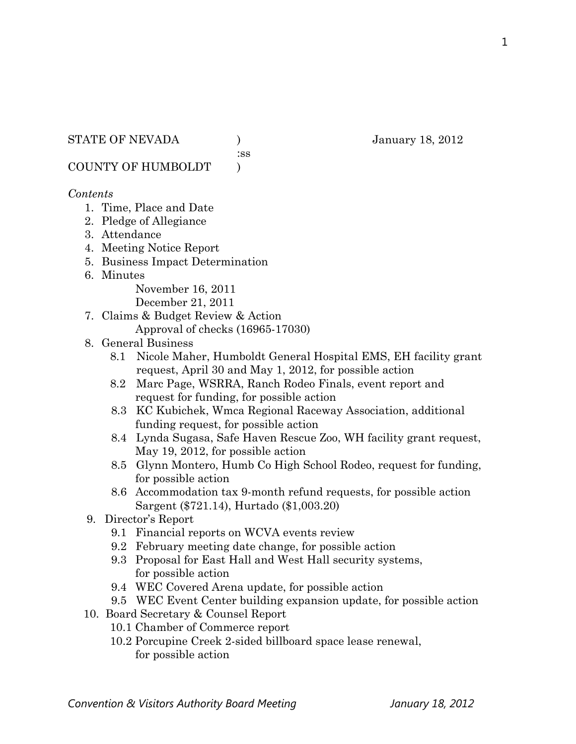#### STATE OF NEVADA (anuary 18, 2012)

:ss

COUNTY OF HUMBOLDT )

#### *Contents*

- 1. Time, Place and Date
- 2. Pledge of Allegiance
- 3. Attendance
- 4. Meeting Notice Report
- 5. Business Impact Determination
- 6. Minutes

November 16, 2011

December 21, 2011

- 7. Claims & Budget Review & Action
	- Approval of checks (16965-17030)
- 8. General Business
	- 8.1 Nicole Maher, Humboldt General Hospital EMS, EH facility grant request, April 30 and May 1, 2012, for possible action
	- 8.2 Marc Page, WSRRA, Ranch Rodeo Finals, event report and request for funding, for possible action
	- 8.3 KC Kubichek, Wmca Regional Raceway Association, additional funding request, for possible action
	- 8.4 Lynda Sugasa, Safe Haven Rescue Zoo, WH facility grant request, May 19, 2012, for possible action
	- 8.5 Glynn Montero, Humb Co High School Rodeo, request for funding, for possible action
	- 8.6 Accommodation tax 9-month refund requests, for possible action Sargent (\$721.14), Hurtado (\$1,003.20)
- 9. Director's Report
	- 9.1 Financial reports on WCVA events review
	- 9.2 February meeting date change, for possible action
	- 9.3 Proposal for East Hall and West Hall security systems, for possible action
	- 9.4 WEC Covered Arena update, for possible action
	- 9.5 WEC Event Center building expansion update, for possible action
- 10. Board Secretary & Counsel Report
	- 10.1 Chamber of Commerce report
	- 10.2 Porcupine Creek 2-sided billboard space lease renewal, for possible action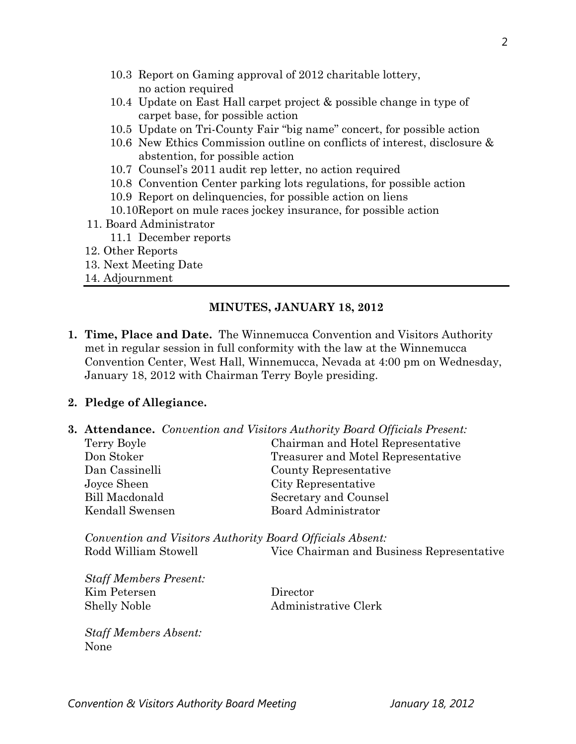- 10.3 Report on Gaming approval of 2012 charitable lottery, no action required
- 10.4 Update on East Hall carpet project & possible change in type of carpet base, for possible action
- 10.5 Update on Tri-County Fair "big name" concert, for possible action
- 10.6 New Ethics Commission outline on conflicts of interest, disclosure & abstention, for possible action
- 10.7 Counsel's 2011 audit rep letter, no action required
- 10.8 Convention Center parking lots regulations, for possible action
- 10.9 Report on delinquencies, for possible action on liens
- 10.10Report on mule races jockey insurance, for possible action
- 11. Board Administrator
	- 11.1 December reports
- 12. Other Reports
- 13. Next Meeting Date
- 14. Adjournment

#### **MINUTES, JANUARY 18, 2012**

**1. Time, Place and Date.** The Winnemucca Convention and Visitors Authority met in regular session in full conformity with the law at the Winnemucca Convention Center, West Hall, Winnemucca, Nevada at 4:00 pm on Wednesday, January 18, 2012 with Chairman Terry Boyle presiding.

#### **2. Pledge of Allegiance.**

**3. Attendance.** *Convention and Visitors Authority Board Officials Present:* 

| Chairman and Hotel Representative  |
|------------------------------------|
| Treasurer and Motel Representative |
| County Representative              |
| City Representative                |
| Secretary and Counsel              |
| Board Administrator                |
|                                    |

*Convention and Visitors Authority Board Officials Absent:*  Rodd William Stowell Vice Chairman and Business Representative

*Staff Members Present:*  Kim Petersen Director Shelly Noble Administrative Clerk

*Staff Members Absent:*  None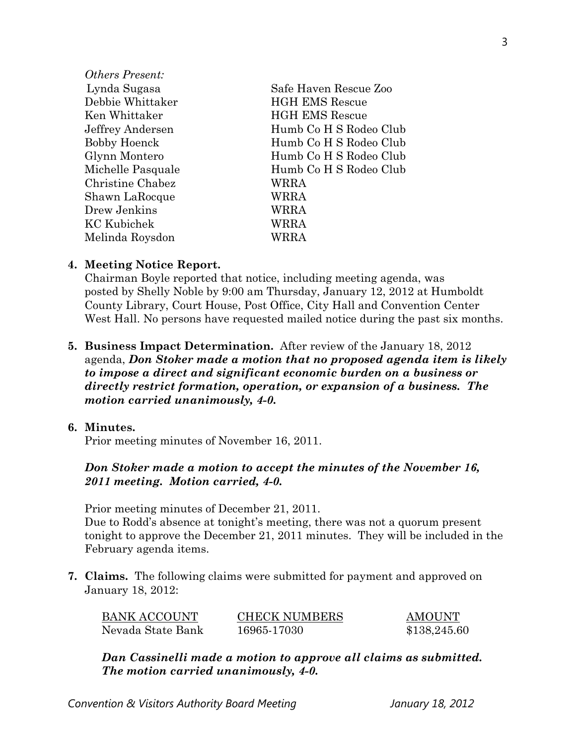| <i>Others Present:</i> |                        |
|------------------------|------------------------|
| Lynda Sugasa           | Safe Haven Rescue Zoo  |
| Debbie Whittaker       | <b>HGH EMS Rescue</b>  |
| Ken Whittaker          | <b>HGH EMS Rescue</b>  |
| Jeffrey Andersen       | Humb Co H S Rodeo Club |
| <b>Bobby Hoenck</b>    | Humb Co H S Rodeo Club |
| Glynn Montero          | Humb Co H S Rodeo Club |
| Michelle Pasquale      | Humb Co H S Rodeo Club |
| Christine Chabez       | WRRA                   |
| Shawn LaRocque         | WRRA                   |
| Drew Jenkins           | WRRA                   |
| <b>KC</b> Kubichek     | WRRA                   |
| Melinda Roysdon        | <b>RRA</b>             |
|                        |                        |

#### **4. Meeting Notice Report.**

Chairman Boyle reported that notice, including meeting agenda, was posted by Shelly Noble by 9:00 am Thursday, January 12, 2012 at Humboldt County Library, Court House, Post Office, City Hall and Convention Center West Hall. No persons have requested mailed notice during the past six months.

**5. Business Impact Determination.** After review of the January 18, 2012 agenda, *Don Stoker made a motion that no proposed agenda item is likely to impose a direct and significant economic burden on a business or directly restrict formation, operation, or expansion of a business. The motion carried unanimously, 4-0.* 

#### **6. Minutes.**

Prior meeting minutes of November 16, 2011.

## *Don Stoker made a motion to accept the minutes of the November 16, 2011 meeting. Motion carried, 4-0.*

Prior meeting minutes of December 21, 2011.

Due to Rodd's absence at tonight's meeting, there was not a quorum present tonight to approve the December 21, 2011 minutes. They will be included in the February agenda items.

**7. Claims.** The following claims were submitted for payment and approved on January 18, 2012:

| BANK ACCOUNT      | <b>CHECK NUMBERS</b> | <b>AMOUNT</b> |
|-------------------|----------------------|---------------|
| Nevada State Bank | 16965-17030          | \$138,245.60  |

*Dan Cassinelli made a motion to approve all claims as submitted. The motion carried unanimously, 4-0.*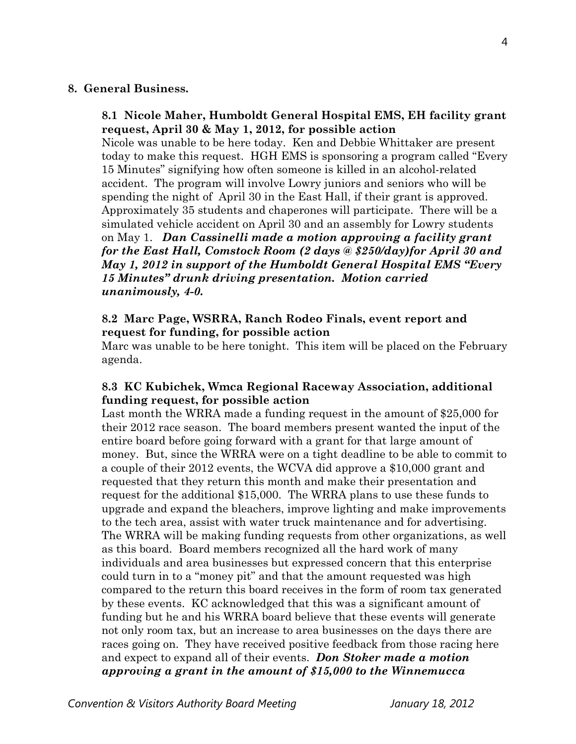#### **8. General Business.**

## **8.1 Nicole Maher, Humboldt General Hospital EMS, EH facility grant request, April 30 & May 1, 2012, for possible action**

Nicole was unable to be here today. Ken and Debbie Whittaker are present today to make this request. HGH EMS is sponsoring a program called "Every 15 Minutes" signifying how often someone is killed in an alcohol-related accident. The program will involve Lowry juniors and seniors who will be spending the night of April 30 in the East Hall, if their grant is approved. Approximately 35 students and chaperones will participate. There will be a simulated vehicle accident on April 30 and an assembly for Lowry students on May 1. *Dan Cassinelli made a motion approving a facility grant for the East Hall, Comstock Room (2 days @ \$250/day)for April 30 and May 1, 2012 in support of the Humboldt General Hospital EMS "Every 15 Minutes" drunk driving presentation. Motion carried unanimously, 4-0.* 

## **8.2 Marc Page, WSRRA, Ranch Rodeo Finals, event report and request for funding, for possible action**

Marc was unable to be here tonight. This item will be placed on the February agenda.

### **8.3 KC Kubichek, Wmca Regional Raceway Association, additional funding request, for possible action**

Last month the WRRA made a funding request in the amount of \$25,000 for their 2012 race season. The board members present wanted the input of the entire board before going forward with a grant for that large amount of money. But, since the WRRA were on a tight deadline to be able to commit to a couple of their 2012 events, the WCVA did approve a \$10,000 grant and requested that they return this month and make their presentation and request for the additional \$15,000. The WRRA plans to use these funds to upgrade and expand the bleachers, improve lighting and make improvements to the tech area, assist with water truck maintenance and for advertising. The WRRA will be making funding requests from other organizations, as well as this board. Board members recognized all the hard work of many individuals and area businesses but expressed concern that this enterprise could turn in to a "money pit" and that the amount requested was high compared to the return this board receives in the form of room tax generated by these events. KC acknowledged that this was a significant amount of funding but he and his WRRA board believe that these events will generate not only room tax, but an increase to area businesses on the days there are races going on. They have received positive feedback from those racing here and expect to expand all of their events. *Don Stoker made a motion approving a grant in the amount of \$15,000 to the Winnemucca*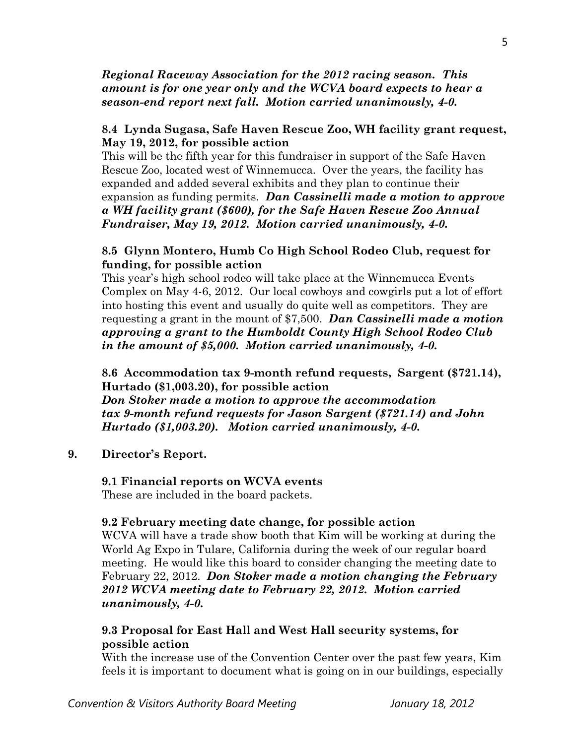## *Regional Raceway Association for the 2012 racing season. This amount is for one year only and the WCVA board expects to hear a season-end report next fall. Motion carried unanimously, 4-0.*

## **8.4 Lynda Sugasa, Safe Haven Rescue Zoo, WH facility grant request, May 19, 2012, for possible action**

This will be the fifth year for this fundraiser in support of the Safe Haven Rescue Zoo, located west of Winnemucca. Over the years, the facility has expanded and added several exhibits and they plan to continue their expansion as funding permits. *Dan Cassinelli made a motion to approve a WH facility grant (\$600), for the Safe Haven Rescue Zoo Annual Fundraiser, May 19, 2012. Motion carried unanimously, 4-0.* 

## **8.5 Glynn Montero, Humb Co High School Rodeo Club, request for funding, for possible action**

This year's high school rodeo will take place at the Winnemucca Events Complex on May 4-6, 2012. Our local cowboys and cowgirls put a lot of effort into hosting this event and usually do quite well as competitors. They are requesting a grant in the mount of \$7,500. *Dan Cassinelli made a motion approving a grant to the Humboldt County High School Rodeo Club in the amount of \$5,000. Motion carried unanimously, 4-0.* 

**8.6 Accommodation tax 9-month refund requests, Sargent (\$721.14), Hurtado (\$1,003.20), for possible action**  *Don Stoker made a motion to approve the accommodation tax 9-month refund requests for Jason Sargent (\$721.14) and John Hurtado (\$1,003.20). Motion carried unanimously, 4-0.*

### **9. Director's Report.**

#### **9.1 Financial reports on WCVA events**  These are included in the board packets.

#### **9.2 February meeting date change, for possible action**

WCVA will have a trade show booth that Kim will be working at during the World Ag Expo in Tulare, California during the week of our regular board meeting. He would like this board to consider changing the meeting date to February 22, 2012. *Don Stoker made a motion changing the February 2012 WCVA meeting date to February 22, 2012. Motion carried unanimously, 4-0.* 

## **9.3 Proposal for East Hall and West Hall security systems, for possible action**

With the increase use of the Convention Center over the past few years, Kim feels it is important to document what is going on in our buildings, especially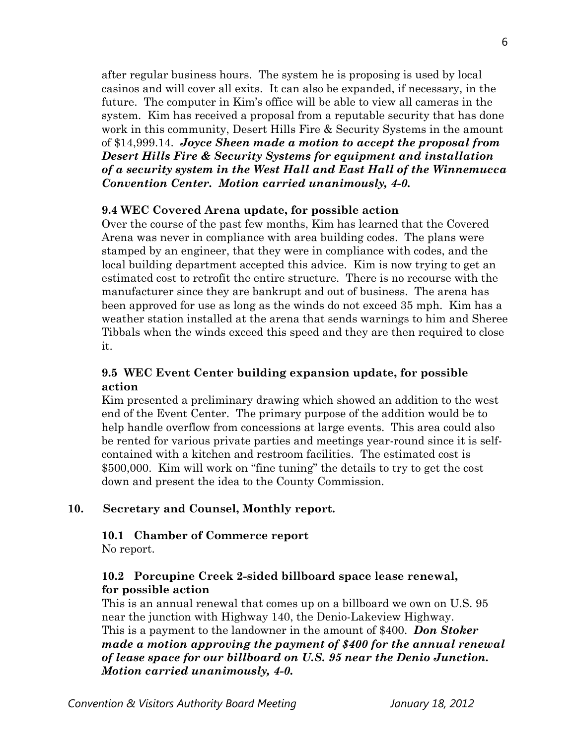after regular business hours. The system he is proposing is used by local casinos and will cover all exits. It can also be expanded, if necessary, in the future. The computer in Kim's office will be able to view all cameras in the system. Kim has received a proposal from a reputable security that has done work in this community, Desert Hills Fire & Security Systems in the amount of \$14,999.14. *Joyce Sheen made a motion to accept the proposal from Desert Hills Fire & Security Systems for equipment and installation of a security system in the West Hall and East Hall of the Winnemucca Convention Center. Motion carried unanimously, 4-0.* 

### **9.4 WEC Covered Arena update, for possible action**

Over the course of the past few months, Kim has learned that the Covered Arena was never in compliance with area building codes. The plans were stamped by an engineer, that they were in compliance with codes, and the local building department accepted this advice. Kim is now trying to get an estimated cost to retrofit the entire structure. There is no recourse with the manufacturer since they are bankrupt and out of business. The arena has been approved for use as long as the winds do not exceed 35 mph. Kim has a weather station installed at the arena that sends warnings to him and Sheree Tibbals when the winds exceed this speed and they are then required to close it.

## **9.5 WEC Event Center building expansion update, for possible action**

Kim presented a preliminary drawing which showed an addition to the west end of the Event Center. The primary purpose of the addition would be to help handle overflow from concessions at large events. This area could also be rented for various private parties and meetings year-round since it is selfcontained with a kitchen and restroom facilities. The estimated cost is \$500,000. Kim will work on "fine tuning" the details to try to get the cost down and present the idea to the County Commission.

### **10. Secretary and Counsel, Monthly report.**

### **10.1 Chamber of Commerce report**

No report.

# **10.2 Porcupine Creek 2-sided billboard space lease renewal, for possible action**

This is an annual renewal that comes up on a billboard we own on U.S. 95 near the junction with Highway 140, the Denio-Lakeview Highway. This is a payment to the landowner in the amount of \$400. *Don Stoker made a motion approving the payment of \$400 for the annual renewal of lease space for our billboard on U.S. 95 near the Denio Junction. Motion carried unanimously, 4-0.*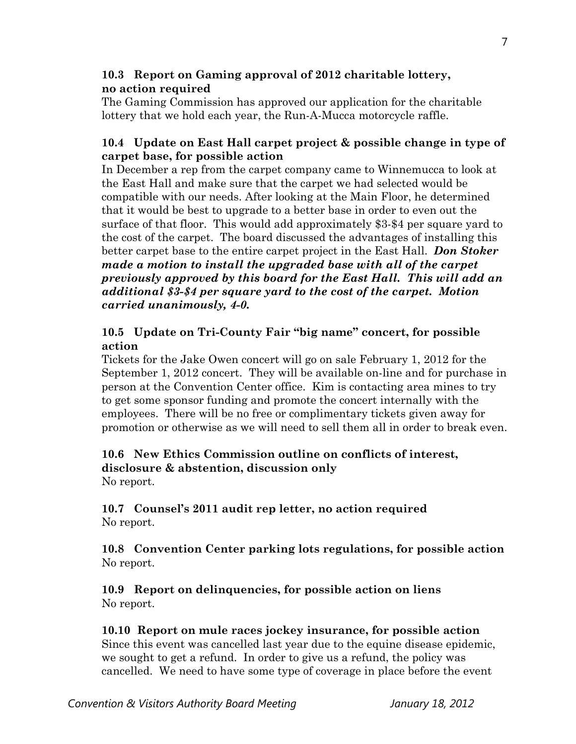# **10.3 Report on Gaming approval of 2012 charitable lottery, no action required**

 The Gaming Commission has approved our application for the charitable lottery that we hold each year, the Run-A-Mucca motorcycle raffle.

# **10.4 Update on East Hall carpet project & possible change in type of carpet base, for possible action**

In December a rep from the carpet company came to Winnemucca to look at the East Hall and make sure that the carpet we had selected would be compatible with our needs. After looking at the Main Floor, he determined that it would be best to upgrade to a better base in order to even out the surface of that floor. This would add approximately \$3-\$4 per square yard to the cost of the carpet. The board discussed the advantages of installing this better carpet base to the entire carpet project in the East Hall. *Don Stoker made a motion to install the upgraded base with all of the carpet previously approved by this board for the East Hall. This will add an additional \$3-\$4 per square yard to the cost of the carpet. Motion carried unanimously, 4-0.* 

# **10.5 Update on Tri-County Fair "big name" concert, for possible action**

Tickets for the Jake Owen concert will go on sale February 1, 2012 for the September 1, 2012 concert. They will be available on-line and for purchase in person at the Convention Center office. Kim is contacting area mines to try to get some sponsor funding and promote the concert internally with the employees. There will be no free or complimentary tickets given away for promotion or otherwise as we will need to sell them all in order to break even.

#### **10.6 New Ethics Commission outline on conflicts of interest, disclosure & abstention, discussion only**  No report.

**10.7 Counsel's 2011 audit rep letter, no action required**  No report.

**10.8 Convention Center parking lots regulations, for possible action**  No report.

**10.9 Report on delinquencies, for possible action on liens**  No report.

# **10.10 Report on mule races jockey insurance, for possible action**

Since this event was cancelled last year due to the equine disease epidemic, we sought to get a refund. In order to give us a refund, the policy was cancelled. We need to have some type of coverage in place before the event

7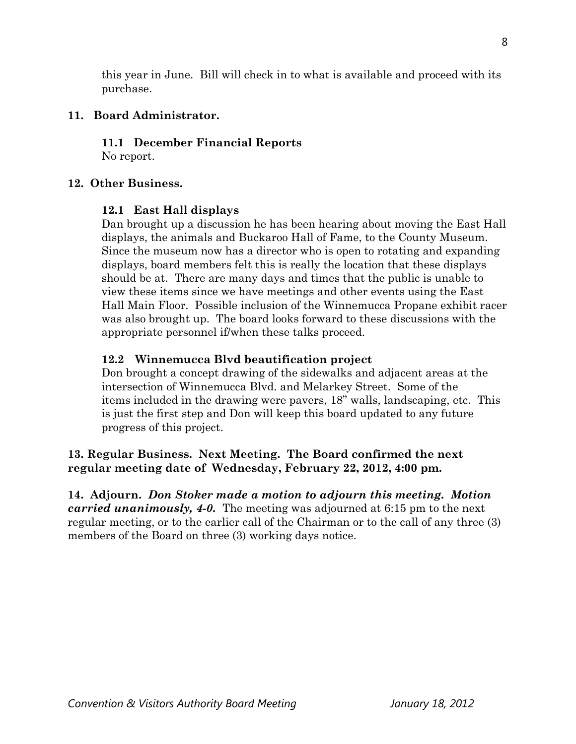this year in June. Bill will check in to what is available and proceed with its purchase.

# **11. Board Administrator.**

**11.1 December Financial Reports**  No report.

### **12. Other Business.**

### **12.1 East Hall displays**

Dan brought up a discussion he has been hearing about moving the East Hall displays, the animals and Buckaroo Hall of Fame, to the County Museum. Since the museum now has a director who is open to rotating and expanding displays, board members felt this is really the location that these displays should be at. There are many days and times that the public is unable to view these items since we have meetings and other events using the East Hall Main Floor. Possible inclusion of the Winnemucca Propane exhibit racer was also brought up. The board looks forward to these discussions with the appropriate personnel if/when these talks proceed.

### **12.2 Winnemucca Blvd beautification project**

Don brought a concept drawing of the sidewalks and adjacent areas at the intersection of Winnemucca Blvd. and Melarkey Street. Some of the items included in the drawing were pavers, 18" walls, landscaping, etc. This is just the first step and Don will keep this board updated to any future progress of this project.

# **13. Regular Business. Next Meeting. The Board confirmed the next regular meeting date of Wednesday, February 22, 2012, 4:00 pm.**

**14. Adjourn.** *Don Stoker made a motion to adjourn this meeting. Motion carried unanimously, 4-0.* The meeting was adjourned at 6:15 pm to the next regular meeting, or to the earlier call of the Chairman or to the call of any three (3) members of the Board on three (3) working days notice.